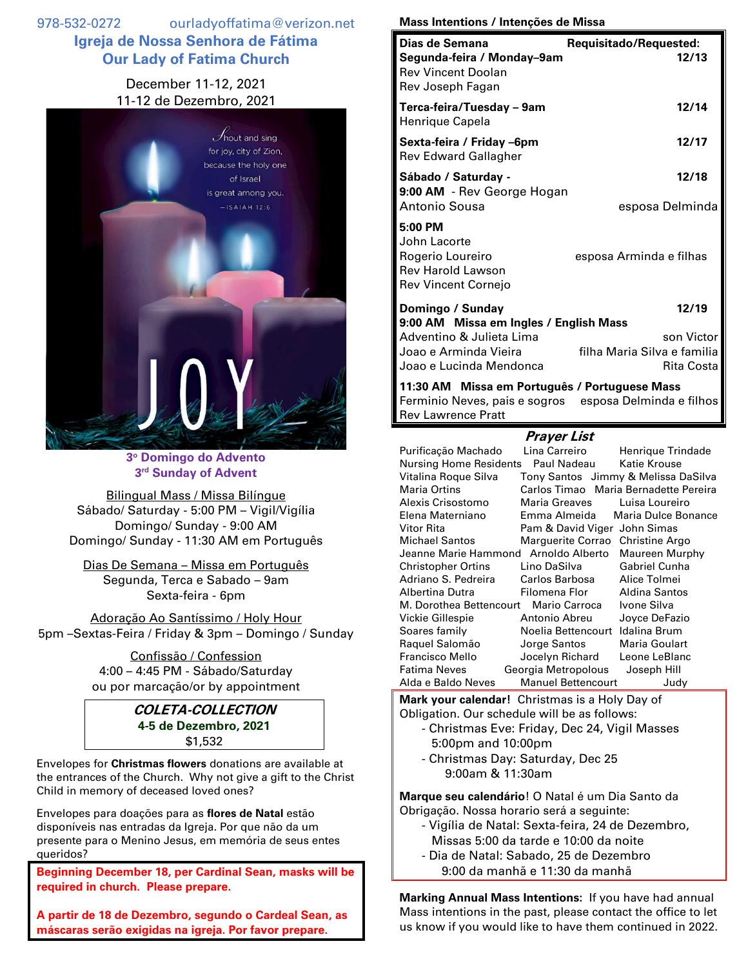978-532-0272 ourladyoffatima@verizon.net **Igreja de Nossa Senhora de Fátima Our Lady of Fatima Church**

## December 11-12, 2021 11-12 de Dezembro, 2021



**3 <sup>o</sup> Domingo do Advento 3 rd Sunday of Advent**

Bilingual Mass / Missa Bilíngue Sábado/ Saturday - 5:00 PM – Vigil/Vigília Domingo/ Sunday - 9:00 AM Domingo/ Sunday - 11:30 AM em Português

Dias De Semana – Missa em Português Segunda, Terca e Sabado – 9am Sexta-feira - 6pm

Adoração Ao Santíssimo / Holy Hour 5pm –Sextas-Feira / Friday & 3pm – Domingo / Sunday

> Confissão / Confession 4:00 – 4:45 PM - Sábado/Saturday ou por marcação/or by appointment

> > **COLETA-COLLECTION 4-5 de Dezembro, 2021** \$1,532

Envelopes for **Christmas flowers** donations are available at the entrances of the Church. Why not give a gift to the Christ Child in memory of deceased loved ones?

Envelopes para doações para as **flores de Natal** estão disponíveis nas entradas da Igreja. Por que não da um presente para o Menino Jesus, em memória de seus entes queridos?

**Beginning December 18, per Cardinal Sean, masks will be required in church. Please prepare.**

**A partir de 18 de Dezembro, segundo o Cardeal Sean, as máscaras serão exigidas na igreja. Por favor prepare.**

## **Mass Intentions / Intenções de Missa**

| Dias de Semana                                                                                            | Requisitado/Requested:                    |
|-----------------------------------------------------------------------------------------------------------|-------------------------------------------|
| Segunda-feira / Monday-9am<br><b>Rev Vincent Doolan</b><br>Rev Joseph Fagan                               | 12/13                                     |
| Terca-feira/Tuesday – 9am<br>Henrique Capela                                                              | 12/14                                     |
| Sexta-feira / Friday –6pm<br><b>Rev Edward Gallagher</b>                                                  | 12/17                                     |
| Sábado / Saturday -                                                                                       | 12/18                                     |
| 9:00 AM - Rev George Hogan<br>Antonio Sousa                                                               | esposa Delminda                           |
| 5:00 PM<br>John Lacorte<br>Rogerio Loureiro<br><b>Rev Harold Lawson</b><br><b>Rev Vincent Cornejo</b>     | esposa Arminda e filhas                   |
| Domingo / Sunday                                                                                          | 12/19                                     |
| 9:00 AM Missa em Ingles / English Mass                                                                    |                                           |
| Adventino & Julieta Lima                                                                                  | son Victor                                |
| Joao e Arminda Vieira                                                                                     | filha Maria Silva e familia<br>Rita Costa |
| Joao e Lucinda Mendonca                                                                                   |                                           |
| 11:30 AM Missa em Português / Portuguese Mass<br>Earminia Navas, nais e segres - espesa Delminda e filhos |                                           |

nio Neves, pais e sogros Rev Lawrence Pratt

## **Prayer List**

Purificação Machado Lina Carreiro Henrique Trindade Nursing Home Residents Paul Nadeau Katie Krouse Vitalina Roque Silva Tony Santos Jimmy & Melissa DaSilva Maria Ortins Carlos Timao Maria Bernadette Pereira Alexis Crisostomo Maria Greaves Luisa Loureiro Elena Materniano Emma Almeida Maria Dulce Bonance Vitor Rita **Pam & David Viger John Simas** Michael Santos Marguerite Corrao Christine Argo Jeanne Marie Hammond Arnoldo Alberto Maureen Murphy Christopher Ortins Lino DaSilva Gabriel Cunha Adriano S. Pedreira Carlos Barbosa Alice Tolmei Albertina Dutra Filomena Flor Aldina Santos M. Dorothea Bettencourt Mario Carroca Ivone Silva Vickie Gillespie Antonio Abreu Joyce DeFazio Soares family Noelia Bettencourt Idalina Brum Raquel Salomão Jorge Santos Maria Goulart Francisco Mello Jocelyn Richard Leone LeBlanc Fatima Neves Georgia Metropolous Joseph Hill Alda e Baldo Neves Manuel Bettencourt Judy

**Mark your calendar!** Christmas is a Holy Day of Obligation. Our schedule will be as follows:

- Christmas Eve: Friday, Dec 24, Vigil Masses 5:00pm and 10:00pm
- Christmas Day: Saturday, Dec 25 9:00am & 11:30am

**Marque seu calendário**! O Natal é um Dia Santo da Obrigação. Nossa horario será a seguinte:

- Vigília de Natal: Sexta-feira, 24 de Dezembro, Missas 5:00 da tarde e 10:00 da noite
- Dia de Natal: Sabado, 25 de Dezembro 9:00 da manhã e 11:30 da manhã

**Marking Annual Mass Intentions:** If you have had annual Mass intentions in the past, please contact the office to let us know if you would like to have them continued in 2022.